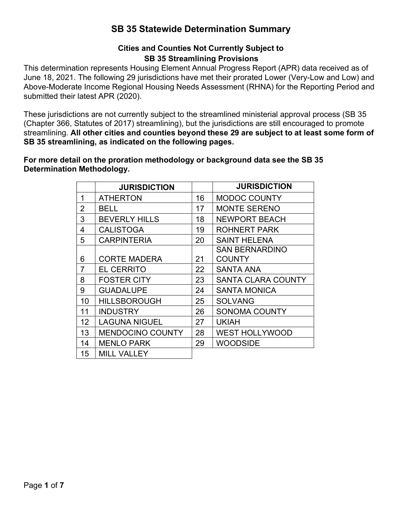# SB 35 Statewide Determination Summary

#### Cities and Counties Not Currently Subject to SB 35 Streamlining Provisions

This determination represents Housing Element Annual Progress Report (APR) data received as of June 18, 2021. The following 29 jurisdictions have met their prorated Lower (Very-Low and Low) and Above-Moderate Income Regional Housing Needs Assessment (RHNA) for the Reporting Period and submitted their latest APR (2020).

These jurisdictions are not currently subject to the streamlined ministerial approval process (SB 35 (Chapter 366, Statutes of 2017) streamlining), but the jurisdictions are still encouraged to promote streamlining. All other cities and counties beyond these 29 are subject to at least some form of SB 35 streamlining, as indicated on the following pages.

For more detail on the proration methodology or background data see the SB 35 Determination Methodology.

|                 | <b>JURISDICTION</b>     |    | <b>JURISDICTION</b>       |
|-----------------|-------------------------|----|---------------------------|
| 1               | <b>ATHERTON</b>         | 16 | <b>MODOC COUNTY</b>       |
| 2               | <b>BELL</b>             | 17 | <b>MONTE SERENO</b>       |
| 3               | <b>BEVERLY HILLS</b>    | 18 | <b>NEWPORT BEACH</b>      |
| 4               | <b>CALISTOGA</b>        | 19 | <b>ROHNERT PARK</b>       |
| 5               | <b>CARPINTERIA</b>      | 20 | <b>SAINT HELENA</b>       |
|                 |                         |    | <b>SAN BERNARDINO</b>     |
| 6               | <b>CORTE MADERA</b>     | 21 | <b>COUNTY</b>             |
| 7               | <b>EL CERRITO</b>       | 22 | <b>SANTA ANA</b>          |
| 8               | <b>FOSTER CITY</b>      | 23 | <b>SANTA CLARA COUNTY</b> |
| 9               | <b>GUADALUPE</b>        | 24 | <b>SANTA MONICA</b>       |
| 10              | <b>HILLSBOROUGH</b>     | 25 | <b>SOLVANG</b>            |
| 11              | <b>INDUSTRY</b>         | 26 | <b>SONOMA COUNTY</b>      |
| 12 <sup>2</sup> | <b>LAGUNA NIGUEL</b>    | 27 | <b>UKIAH</b>              |
| 13              | <b>MENDOCINO COUNTY</b> | 28 | <b>WEST HOLLYWOOD</b>     |
| 14              | <b>MENLO PARK</b>       | 29 | <b>WOODSIDE</b>           |
| 15              | <b>MILL VALLEY</b>      |    |                           |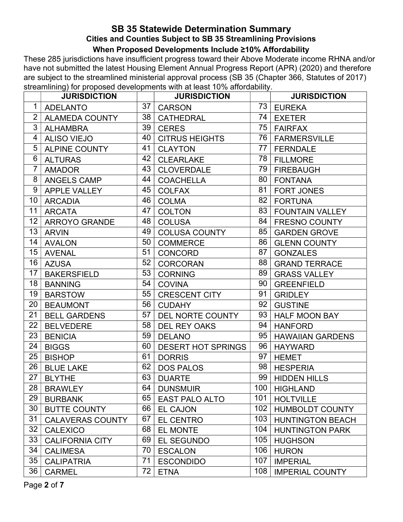# SB 35 Statewide Determination Summary Cities and Counties Subject to SB 35 Streamlining Provisions

When Proposed Developments Include ≥10% Affordability

These 285 jurisdictions have insufficient progress toward their Above Moderate income RHNA and/or have not submitted the latest Housing Element Annual Progress Report (APR) (2020) and therefore are subject to the streamlined ministerial approval process (SB 35 (Chapter 366, Statutes of 2017) streamlining) for proposed developments with at least 10% affordability.

|                | <b>JURISDICTION</b>     |    | <b>JURISDICTION</b>   |     | <b>JURISDICTION</b>     |
|----------------|-------------------------|----|-----------------------|-----|-------------------------|
| 1              | <b>ADELANTO</b>         | 37 | <b>CARSON</b>         | 73  | <b>EUREKA</b>           |
| $\overline{2}$ | <b>ALAMEDA COUNTY</b>   | 38 | <b>CATHEDRAL</b>      | 74  | <b>EXETER</b>           |
| 3              | <b>ALHAMBRA</b>         | 39 | <b>CERES</b>          | 75  | <b>FAIRFAX</b>          |
| 4              | <b>ALISO VIEJO</b>      | 40 | <b>CITRUS HEIGHTS</b> | 76  | <b>FARMERSVILLE</b>     |
| 5              | <b>ALPINE COUNTY</b>    | 41 | <b>CLAYTON</b>        | 77  | <b>FERNDALE</b>         |
| 6              | <b>ALTURAS</b>          | 42 | <b>CLEARLAKE</b>      | 78  | <b>FILLMORE</b>         |
| $\overline{7}$ | <b>AMADOR</b>           | 43 | <b>CLOVERDALE</b>     | 79  | <b>FIREBAUGH</b>        |
| 8              | <b>ANGELS CAMP</b>      | 44 | <b>COACHELLA</b>      | 80  | <b>FONTANA</b>          |
| $9\,$          | <b>APPLE VALLEY</b>     | 45 | <b>COLFAX</b>         | 81  | <b>FORT JONES</b>       |
| 10             | <b>ARCADIA</b>          | 46 | <b>COLMA</b>          | 82  | <b>FORTUNA</b>          |
| 11             | <b>ARCATA</b>           | 47 | <b>COLTON</b>         | 83  | <b>FOUNTAIN VALLEY</b>  |
| 12             | <b>ARROYO GRANDE</b>    | 48 | <b>COLUSA</b>         | 84  | <b>FRESNO COUNTY</b>    |
| 13             | <b>ARVIN</b>            | 49 | <b>COLUSA COUNTY</b>  | 85  | <b>GARDEN GROVE</b>     |
| 14             | <b>AVALON</b>           | 50 | <b>COMMERCE</b>       | 86  | <b>GLENN COUNTY</b>     |
| 15             | <b>AVENAL</b>           | 51 | <b>CONCORD</b>        | 87  | <b>GONZALES</b>         |
| 16             | <b>AZUSA</b>            | 52 | <b>CORCORAN</b>       | 88  | <b>GRAND TERRACE</b>    |
| 17             | <b>BAKERSFIELD</b>      | 53 | <b>CORNING</b>        | 89  | <b>GRASS VALLEY</b>     |
| 18             | <b>BANNING</b>          | 54 | <b>COVINA</b>         | 90  | <b>GREENFIELD</b>       |
| 19             | <b>BARSTOW</b>          | 55 | <b>CRESCENT CITY</b>  | 91  | <b>GRIDLEY</b>          |
| 20             | <b>BEAUMONT</b>         | 56 | <b>CUDAHY</b>         | 92  | <b>GUSTINE</b>          |
| 21             | <b>BELL GARDENS</b>     | 57 | DEL NORTE COUNTY      | 93  | <b>HALF MOON BAY</b>    |
| 22             | <b>BELVEDERE</b>        | 58 | <b>DEL REY OAKS</b>   | 94  | <b>HANFORD</b>          |
| 23             | <b>BENICIA</b>          | 59 | <b>DELANO</b>         | 95  | <b>HAWAIIAN GARDENS</b> |
| 24             | <b>BIGGS</b>            | 60 | DESERT HOT SPRINGS    | 96  | <b>HAYWARD</b>          |
| 25             | <b>BISHOP</b>           | 61 | <b>DORRIS</b>         | 97  | <b>HEMET</b>            |
| 26             | <b>BLUE LAKE</b>        | 62 | <b>DOS PALOS</b>      | 98  | <b>HESPERIA</b>         |
| 27             | <b>BLYTHE</b>           | 63 | <b>DUARTE</b>         | 99  | <b>HIDDEN HILLS</b>     |
| 28             | <b>BRAWLEY</b>          | 64 | <b>DUNSMUIR</b>       | 100 | <b>HIGHLAND</b>         |
| 29             | <b>BURBANK</b>          | 65 | <b>EAST PALO ALTO</b> | 101 | <b>HOLTVILLE</b>        |
| 30             | <b>BUTTE COUNTY</b>     | 66 | EL CAJON              | 102 | <b>HUMBOLDT COUNTY</b>  |
| 31             | <b>CALAVERAS COUNTY</b> | 67 | <b>EL CENTRO</b>      | 103 | <b>HUNTINGTON BEACH</b> |
| 32             | <b>CALEXICO</b>         | 68 | <b>EL MONTE</b>       | 104 | <b>HUNTINGTON PARK</b>  |
| 33             | <b>CALIFORNIA CITY</b>  | 69 | EL SEGUNDO            | 105 | <b>HUGHSON</b>          |
| 34             | <b>CALIMESA</b>         | 70 | <b>ESCALON</b>        | 106 | <b>HURON</b>            |
| 35             | <b>CALIPATRIA</b>       | 71 | <b>ESCONDIDO</b>      | 107 | <b>IMPERIAL</b>         |
| 36             | <b>CARMEL</b>           | 72 | <b>ETNA</b>           | 108 | <b>IMPERIAL COUNTY</b>  |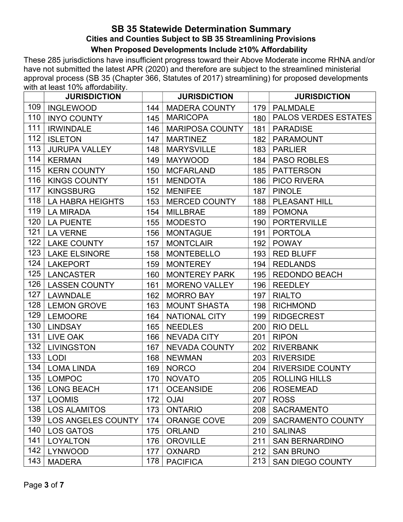# SB 35 Statewide Determination Summary Cities and Counties Subject to SB 35 Streamlining Provisions When Proposed Developments Include ≥10% Affordability

These 285 jurisdictions have insufficient progress toward their Above Moderate income RHNA and/or have not submitted the latest APR (2020) and therefore are subject to the streamlined ministerial approval process (SB 35 (Chapter 366, Statutes of 2017) streamlining) for proposed developments with at least 10% affordability.

|     | <b>JURISDICTION</b>       |     | <b>JURISDICTION</b>    |     | <b>JURISDICTION</b>         |
|-----|---------------------------|-----|------------------------|-----|-----------------------------|
| 109 | <b>INGLEWOOD</b>          | 144 | <b>MADERA COUNTY</b>   | 179 | <b>PALMDALE</b>             |
| 110 | <b>INYO COUNTY</b>        | 145 | <b>MARICOPA</b>        | 180 | <b>PALOS VERDES ESTATES</b> |
| 111 | <b>IRWINDALE</b>          | 146 | <b>MARIPOSA COUNTY</b> | 181 | <b>PARADISE</b>             |
| 112 | <b>ISLETON</b>            | 147 | <b>MARTINEZ</b>        | 182 | <b>PARAMOUNT</b>            |
| 113 | <b>JURUPA VALLEY</b>      | 148 | <b>MARYSVILLE</b>      | 183 | <b>PARLIER</b>              |
| 114 | <b>KERMAN</b>             | 149 | <b>MAYWOOD</b>         | 184 | <b>PASO ROBLES</b>          |
| 115 | <b>KERN COUNTY</b>        | 150 | <b>MCFARLAND</b>       | 185 | <b>PATTERSON</b>            |
| 116 | <b>KINGS COUNTY</b>       | 151 | <b>MENDOTA</b>         | 186 | <b>PICO RIVERA</b>          |
| 117 | <b>KINGSBURG</b>          | 152 | <b>MENIFEE</b>         | 187 | <b>PINOLE</b>               |
| 118 | <b>LA HABRA HEIGHTS</b>   | 153 | <b>MERCED COUNTY</b>   | 188 | <b>PLEASANT HILL</b>        |
| 119 | <b>LA MIRADA</b>          | 154 | <b>MILLBRAE</b>        | 189 | <b>POMONA</b>               |
| 120 | <b>LA PUENTE</b>          | 155 | <b>MODESTO</b>         | 190 | <b>PORTERVILLE</b>          |
| 121 | <b>LA VERNE</b>           | 156 | <b>MONTAGUE</b>        | 191 | <b>PORTOLA</b>              |
| 122 | <b>LAKE COUNTY</b>        | 157 | <b>MONTCLAIR</b>       | 192 | <b>POWAY</b>                |
| 123 | <b>LAKE ELSINORE</b>      | 158 | <b>MONTEBELLO</b>      | 193 | <b>RED BLUFF</b>            |
| 124 | <b>LAKEPORT</b>           | 159 | <b>MONTEREY</b>        | 194 | <b>REDLANDS</b>             |
| 125 | <b>LANCASTER</b>          | 160 | <b>MONTEREY PARK</b>   | 195 | <b>REDONDO BEACH</b>        |
| 126 | <b>LASSEN COUNTY</b>      | 161 | <b>MORENO VALLEY</b>   | 196 | <b>REEDLEY</b>              |
| 127 | <b>LAWNDALE</b>           | 162 | <b>MORRO BAY</b>       | 197 | <b>RIALTO</b>               |
| 128 | <b>LEMON GROVE</b>        | 163 | <b>MOUNT SHASTA</b>    | 198 | <b>RICHMOND</b>             |
| 129 | <b>LEMOORE</b>            | 164 | <b>NATIONAL CITY</b>   | 199 | <b>RIDGECREST</b>           |
| 130 | <b>LINDSAY</b>            | 165 | <b>NEEDLES</b>         | 200 | <b>RIO DELL</b>             |
| 131 | LIVE OAK                  | 166 | <b>NEVADA CITY</b>     | 201 | <b>RIPON</b>                |
| 132 | <b>LIVINGSTON</b>         | 167 | <b>NEVADA COUNTY</b>   | 202 | <b>RIVERBANK</b>            |
| 133 | <b>LODI</b>               | 168 | <b>NEWMAN</b>          | 203 | <b>RIVERSIDE</b>            |
| 134 | <b>LOMA LINDA</b>         | 169 | <b>NORCO</b>           | 204 | <b>RIVERSIDE COUNTY</b>     |
| 135 | <b>LOMPOC</b>             | 170 | <b>NOVATO</b>          | 205 | <b>ROLLING HILLS</b>        |
| 136 | <b>LONG BEACH</b>         | 171 | <b>OCEANSIDE</b>       | 206 | <b>ROSEMEAD</b>             |
| 137 | <b>LOOMIS</b>             | 172 | <b>OJAI</b>            | 207 | <b>ROSS</b>                 |
| 138 | <b>LOS ALAMITOS</b>       | 173 | <b>ONTARIO</b>         | 208 | <b>SACRAMENTO</b>           |
| 139 | <b>LOS ANGELES COUNTY</b> | 174 | <b>ORANGE COVE</b>     | 209 | <b>SACRAMENTO COUNTY</b>    |
| 140 | <b>LOS GATOS</b>          | 175 | <b>ORLAND</b>          | 210 | <b>SALINAS</b>              |
| 141 | <b>LOYALTON</b>           | 176 | <b>OROVILLE</b>        | 211 | <b>SAN BERNARDINO</b>       |
| 142 | <b>LYNWOOD</b>            | 177 | <b>OXNARD</b>          | 212 | <b>SAN BRUNO</b>            |
| 143 | <b>MADERA</b>             | 178 | <b>PACIFICA</b>        | 213 | <b>SAN DIEGO COUNTY</b>     |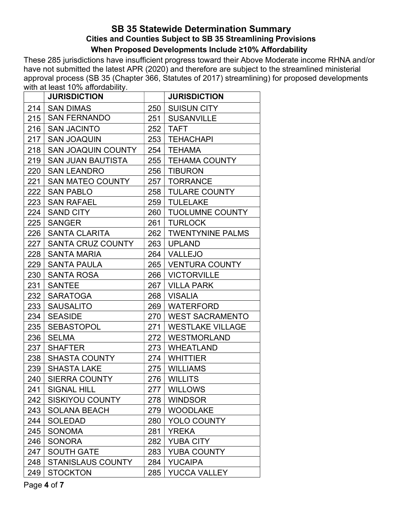# SB 35 Statewide Determination Summary Cities and Counties Subject to SB 35 Streamlining Provisions When Proposed Developments Include ≥10% Affordability

These 285 jurisdictions have insufficient progress toward their Above Moderate income RHNA and/or have not submitted the latest APR (2020) and therefore are subject to the streamlined ministerial approval process (SB 35 (Chapter 366, Statutes of 2017) streamlining) for proposed developments with at least 10% affordability.

|                  | <b>JURISDICTION</b>       |     | <b>JURISDICTION</b>     |
|------------------|---------------------------|-----|-------------------------|
| 214              | <b>SAN DIMAS</b>          | 250 | <b>SUISUN CITY</b>      |
|                  | 215   SAN FERNANDO        |     | 251   SUSANVILLE        |
| 216              | <b>SAN JACINTO</b>        | 252 | <b>TAFT</b>             |
| 217              | <b>SAN JOAQUIN</b>        | 253 | <b>TEHACHAPI</b>        |
| 218              | <b>SAN JOAQUIN COUNTY</b> | 254 | <b>TEHAMA</b>           |
| 219              | <b>SAN JUAN BAUTISTA</b>  | 255 | <b>TEHAMA COUNTY</b>    |
| 220              | <b>SAN LEANDRO</b>        | 256 | <b>TIBURON</b>          |
| 221              | <b>SAN MATEO COUNTY</b>   | 257 | <b>TORRANCE</b>         |
| 222              | <b>SAN PABLO</b>          | 258 | <b>TULARE COUNTY</b>    |
| 223              | <b>SAN RAFAEL</b>         | 259 | <b>TULELAKE</b>         |
| 224              | <b>SAND CITY</b>          | 260 | <b>TUOLUMNE COUNTY</b>  |
| 225              | <b>SANGER</b>             | 261 | <b>TURLOCK</b>          |
| 226              | <b>SANTA CLARITA</b>      | 262 | <b>TWENTYNINE PALMS</b> |
| 227              | <b>SANTA CRUZ COUNTY</b>  | 263 | <b>UPLAND</b>           |
| 228              | SANTA MARIA               | 264 | <b>VALLEJO</b>          |
| 229              | <b>SANTA PAULA</b>        | 265 | <b>VENTURA COUNTY</b>   |
| 230              | <b>SANTA ROSA</b>         | 266 | <b>VICTORVILLE</b>      |
| 231              | <b>SANTEE</b>             |     | 267   VILLA PARK        |
| 232              | <b>SARATOGA</b>           | 268 | <b>VISALIA</b>          |
| 233              | <b>SAUSALITO</b>          | 269 | <b>WATERFORD</b>        |
| 234              | <b>SEASIDE</b>            |     | 270   WEST SACRAMENTO   |
| 235              | <b>SEBASTOPOL</b>         | 271 | <b>WESTLAKE VILLAGE</b> |
| 236              | <b>SELMA</b>              | 272 | <b>WESTMORLAND</b>      |
| 237 <sub>1</sub> | <b>SHAFTER</b>            |     | 273   WHEATLAND         |
| 238              | <b>SHASTA COUNTY</b>      | 274 | <b>WHITTIER</b>         |
| 239              | <b>SHASTA LAKE</b>        | 275 | <b>WILLIAMS</b>         |
| 240              | <b>SIERRA COUNTY</b>      | 276 | <b>WILLITS</b>          |
| 241              | <b>SIGNAL HILL</b>        | 277 | <b>WILLOWS</b>          |
| 242              | <b>SISKIYOU COUNTY</b>    | 278 | <b>WINDSOR</b>          |
| 243              | <b>SOLANA BEACH</b>       | 279 | <b>WOODLAKE</b>         |
| 244              | <b>SOLEDAD</b>            | 280 | <b>YOLO COUNTY</b>      |
| 245              | <b>SONOMA</b>             | 281 | <b>YREKA</b>            |
| 246              | <b>SONORA</b>             | 282 | <b>YUBA CITY</b>        |
| 247              | <b>SOUTH GATE</b>         | 283 | <b>YUBA COUNTY</b>      |
| 248              | <b>STANISLAUS COUNTY</b>  | 284 | <b>YUCAIPA</b>          |
| 249              | <b>STOCKTON</b>           | 285 | <b>YUCCA VALLEY</b>     |

Page 4 of 7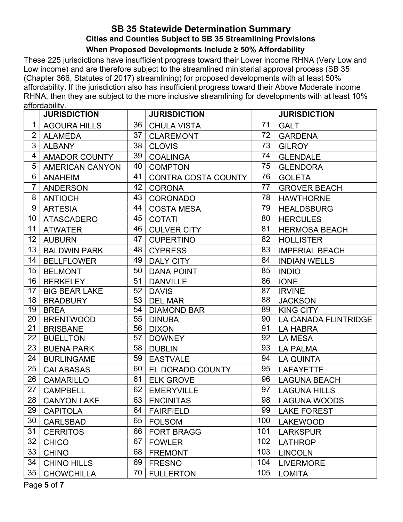# SB 35 Statewide Determination Summary Cities and Counties Subject to SB 35 Streamlining Provisions When Proposed Developments Include ≥ 50% Affordability

These 225 jurisdictions have insufficient progress toward their Lower income RHNA (Very Low and Low income) and are therefore subject to the streamlined ministerial approval process (SB 35 (Chapter 366, Statutes of 2017) streamlining) for proposed developments with at least 50% affordability. If the jurisdiction also has insufficient progress toward their Above Moderate income RHNA, then they are subject to the more inclusive streamlining for developments with at least 10% affordability.

| 36<br>71<br>1<br><b>AGOURA HILLS</b><br><b>CHULA VISTA</b><br><b>GALT</b><br>$\overline{2}$<br>37<br>72<br><b>ALAMEDA</b><br><b>GARDENA</b><br><b>CLAREMONT</b><br>3<br>38<br>73<br><b>ALBANY</b><br><b>CLOVIS</b><br><b>GILROY</b><br>74<br>4<br>39<br><b>GLENDALE</b><br><b>AMADOR COUNTY</b><br><b>COALINGA</b><br>5<br>40<br>75<br><b>AMERICAN CANYON</b><br><b>COMPTON</b><br><b>GLENDORA</b><br>6<br>41<br>76<br><b>ANAHEIM</b><br><b>CONTRA COSTA COUNTY</b><br><b>GOLETA</b><br>$\overline{7}$<br>42<br>77<br><b>ANDERSON</b><br><b>CORONA</b><br><b>GROVER BEACH</b><br>43<br>8<br>78<br><b>CORONADO</b><br><b>HAWTHORNE</b><br><b>ANTIOCH</b><br>9<br>44<br>79<br><b>ARTESIA</b><br><b>COSTA MESA</b><br><b>HEALDSBURG</b><br>10<br>45<br>80<br><b>ATASCADERO</b><br><b>COTATI</b><br><b>HERCULES</b><br>11<br>46<br>81<br><b>CULVER CITY</b><br><b>HERMOSA BEACH</b><br><b>ATWATER</b><br>12<br>82<br>47<br><b>CUPERTINO</b><br><b>HOLLISTER</b><br><b>AUBURN</b><br>13<br>48<br>83<br><b>BALDWIN PARK</b><br><b>CYPRESS</b><br><b>IMPERIAL BEACH</b><br>14<br>49<br>84<br><b>BELLFLOWER</b><br><b>INDIAN WELLS</b><br><b>DALY CITY</b><br>15<br>50<br>85<br><b>INDIO</b><br><b>BELMONT</b><br><b>DANA POINT</b><br>16<br>51<br>86<br><b>BERKELEY</b><br><b>DANVILLE</b><br><b>IONE</b><br>$\overline{17}$<br>52<br>87<br><b>BIG BEAR LAKE</b><br><b>DAVIS</b><br><b>IRVINE</b><br>53<br>18<br>88<br><b>BRADBURY</b><br><b>DEL MAR</b><br><b>JACKSON</b><br>19<br>54<br>89<br><b>BREA</b><br><b>DIAMOND BAR</b><br><b>KING CITY</b><br>20<br>55<br>90<br><b>BRENTWOOD</b><br><b>DINUBA</b><br>21<br>56<br><b>BRISBANE</b><br><b>DIXON</b><br>91<br><b>LA HABRA</b><br>$\overline{22}$<br>$\overline{57}$<br>92<br><b>DOWNEY</b><br><b>BUELLTON</b><br><b>LA MESA</b><br>23<br>58<br>93<br><b>DUBLIN</b><br><b>BUENA PARK</b><br>LA PALMA<br>24<br>59<br>94<br><b>BURLINGAME</b><br><b>EASTVALE</b><br><b>LA QUINTA</b><br>25<br>95<br>60<br><b>LAFAYETTE</b><br><b>CALABASAS</b><br>EL DORADO COUNTY<br>26<br>61<br>96<br><b>CAMARILLO</b><br><b>ELK GROVE</b><br><b>LAGUNA BEACH</b><br>27<br>62<br>97<br><b>EMERYVILLE</b><br><b>LAGUNA HILLS</b><br><b>CAMPBELL</b><br>28<br>63<br>98<br><b>CANYON LAKE</b><br><b>ENCINITAS</b><br><b>LAGUNA WOODS</b><br>29<br>64<br>99<br><b>CAPITOLA</b><br><b>FAIRFIELD</b><br><b>LAKE FOREST</b><br>65<br>100<br>30<br><b>CARLSBAD</b><br><b>FOLSOM</b><br><b>LAKEWOOD</b><br>31<br>66<br>101<br><b>CERRITOS</b><br><b>FORT BRAGG</b><br><b>LARKSPUR</b><br>67<br>32<br>102<br><b>CHICO</b><br><b>FOWLER</b><br><b>LATHROP</b><br>33<br>103<br>68<br><b>CHINO</b><br><b>FREMONT</b><br><b>LINCOLN</b><br>34<br>69<br>104<br><b>CHINO HILLS</b><br><b>FRESNO</b><br><b>LIVERMORE</b><br>35<br>105<br>70<br><b>CHOWCHILLA</b><br><b>FULLERTON</b><br><b>LOMITA</b> | <b>JURISDICTION</b> | <b>JURISDICTION</b> | <b>JURISDICTION</b>  |
|---------------------------------------------------------------------------------------------------------------------------------------------------------------------------------------------------------------------------------------------------------------------------------------------------------------------------------------------------------------------------------------------------------------------------------------------------------------------------------------------------------------------------------------------------------------------------------------------------------------------------------------------------------------------------------------------------------------------------------------------------------------------------------------------------------------------------------------------------------------------------------------------------------------------------------------------------------------------------------------------------------------------------------------------------------------------------------------------------------------------------------------------------------------------------------------------------------------------------------------------------------------------------------------------------------------------------------------------------------------------------------------------------------------------------------------------------------------------------------------------------------------------------------------------------------------------------------------------------------------------------------------------------------------------------------------------------------------------------------------------------------------------------------------------------------------------------------------------------------------------------------------------------------------------------------------------------------------------------------------------------------------------------------------------------------------------------------------------------------------------------------------------------------------------------------------------------------------------------------------------------------------------------------------------------------------------------------------------------------------------------------------------------------------------------------------------------------------------------------------------------------------------------------------------------------------------------------------------------------------------------------------------------------------------------------------------------------------------------------------------------------------------------------------------------------------------|---------------------|---------------------|----------------------|
|                                                                                                                                                                                                                                                                                                                                                                                                                                                                                                                                                                                                                                                                                                                                                                                                                                                                                                                                                                                                                                                                                                                                                                                                                                                                                                                                                                                                                                                                                                                                                                                                                                                                                                                                                                                                                                                                                                                                                                                                                                                                                                                                                                                                                                                                                                                                                                                                                                                                                                                                                                                                                                                                                                                                                                                                                     |                     |                     |                      |
|                                                                                                                                                                                                                                                                                                                                                                                                                                                                                                                                                                                                                                                                                                                                                                                                                                                                                                                                                                                                                                                                                                                                                                                                                                                                                                                                                                                                                                                                                                                                                                                                                                                                                                                                                                                                                                                                                                                                                                                                                                                                                                                                                                                                                                                                                                                                                                                                                                                                                                                                                                                                                                                                                                                                                                                                                     |                     |                     |                      |
|                                                                                                                                                                                                                                                                                                                                                                                                                                                                                                                                                                                                                                                                                                                                                                                                                                                                                                                                                                                                                                                                                                                                                                                                                                                                                                                                                                                                                                                                                                                                                                                                                                                                                                                                                                                                                                                                                                                                                                                                                                                                                                                                                                                                                                                                                                                                                                                                                                                                                                                                                                                                                                                                                                                                                                                                                     |                     |                     |                      |
|                                                                                                                                                                                                                                                                                                                                                                                                                                                                                                                                                                                                                                                                                                                                                                                                                                                                                                                                                                                                                                                                                                                                                                                                                                                                                                                                                                                                                                                                                                                                                                                                                                                                                                                                                                                                                                                                                                                                                                                                                                                                                                                                                                                                                                                                                                                                                                                                                                                                                                                                                                                                                                                                                                                                                                                                                     |                     |                     |                      |
|                                                                                                                                                                                                                                                                                                                                                                                                                                                                                                                                                                                                                                                                                                                                                                                                                                                                                                                                                                                                                                                                                                                                                                                                                                                                                                                                                                                                                                                                                                                                                                                                                                                                                                                                                                                                                                                                                                                                                                                                                                                                                                                                                                                                                                                                                                                                                                                                                                                                                                                                                                                                                                                                                                                                                                                                                     |                     |                     |                      |
|                                                                                                                                                                                                                                                                                                                                                                                                                                                                                                                                                                                                                                                                                                                                                                                                                                                                                                                                                                                                                                                                                                                                                                                                                                                                                                                                                                                                                                                                                                                                                                                                                                                                                                                                                                                                                                                                                                                                                                                                                                                                                                                                                                                                                                                                                                                                                                                                                                                                                                                                                                                                                                                                                                                                                                                                                     |                     |                     |                      |
|                                                                                                                                                                                                                                                                                                                                                                                                                                                                                                                                                                                                                                                                                                                                                                                                                                                                                                                                                                                                                                                                                                                                                                                                                                                                                                                                                                                                                                                                                                                                                                                                                                                                                                                                                                                                                                                                                                                                                                                                                                                                                                                                                                                                                                                                                                                                                                                                                                                                                                                                                                                                                                                                                                                                                                                                                     |                     |                     |                      |
|                                                                                                                                                                                                                                                                                                                                                                                                                                                                                                                                                                                                                                                                                                                                                                                                                                                                                                                                                                                                                                                                                                                                                                                                                                                                                                                                                                                                                                                                                                                                                                                                                                                                                                                                                                                                                                                                                                                                                                                                                                                                                                                                                                                                                                                                                                                                                                                                                                                                                                                                                                                                                                                                                                                                                                                                                     |                     |                     |                      |
|                                                                                                                                                                                                                                                                                                                                                                                                                                                                                                                                                                                                                                                                                                                                                                                                                                                                                                                                                                                                                                                                                                                                                                                                                                                                                                                                                                                                                                                                                                                                                                                                                                                                                                                                                                                                                                                                                                                                                                                                                                                                                                                                                                                                                                                                                                                                                                                                                                                                                                                                                                                                                                                                                                                                                                                                                     |                     |                     |                      |
|                                                                                                                                                                                                                                                                                                                                                                                                                                                                                                                                                                                                                                                                                                                                                                                                                                                                                                                                                                                                                                                                                                                                                                                                                                                                                                                                                                                                                                                                                                                                                                                                                                                                                                                                                                                                                                                                                                                                                                                                                                                                                                                                                                                                                                                                                                                                                                                                                                                                                                                                                                                                                                                                                                                                                                                                                     |                     |                     |                      |
|                                                                                                                                                                                                                                                                                                                                                                                                                                                                                                                                                                                                                                                                                                                                                                                                                                                                                                                                                                                                                                                                                                                                                                                                                                                                                                                                                                                                                                                                                                                                                                                                                                                                                                                                                                                                                                                                                                                                                                                                                                                                                                                                                                                                                                                                                                                                                                                                                                                                                                                                                                                                                                                                                                                                                                                                                     |                     |                     |                      |
|                                                                                                                                                                                                                                                                                                                                                                                                                                                                                                                                                                                                                                                                                                                                                                                                                                                                                                                                                                                                                                                                                                                                                                                                                                                                                                                                                                                                                                                                                                                                                                                                                                                                                                                                                                                                                                                                                                                                                                                                                                                                                                                                                                                                                                                                                                                                                                                                                                                                                                                                                                                                                                                                                                                                                                                                                     |                     |                     |                      |
|                                                                                                                                                                                                                                                                                                                                                                                                                                                                                                                                                                                                                                                                                                                                                                                                                                                                                                                                                                                                                                                                                                                                                                                                                                                                                                                                                                                                                                                                                                                                                                                                                                                                                                                                                                                                                                                                                                                                                                                                                                                                                                                                                                                                                                                                                                                                                                                                                                                                                                                                                                                                                                                                                                                                                                                                                     |                     |                     |                      |
|                                                                                                                                                                                                                                                                                                                                                                                                                                                                                                                                                                                                                                                                                                                                                                                                                                                                                                                                                                                                                                                                                                                                                                                                                                                                                                                                                                                                                                                                                                                                                                                                                                                                                                                                                                                                                                                                                                                                                                                                                                                                                                                                                                                                                                                                                                                                                                                                                                                                                                                                                                                                                                                                                                                                                                                                                     |                     |                     |                      |
|                                                                                                                                                                                                                                                                                                                                                                                                                                                                                                                                                                                                                                                                                                                                                                                                                                                                                                                                                                                                                                                                                                                                                                                                                                                                                                                                                                                                                                                                                                                                                                                                                                                                                                                                                                                                                                                                                                                                                                                                                                                                                                                                                                                                                                                                                                                                                                                                                                                                                                                                                                                                                                                                                                                                                                                                                     |                     |                     |                      |
|                                                                                                                                                                                                                                                                                                                                                                                                                                                                                                                                                                                                                                                                                                                                                                                                                                                                                                                                                                                                                                                                                                                                                                                                                                                                                                                                                                                                                                                                                                                                                                                                                                                                                                                                                                                                                                                                                                                                                                                                                                                                                                                                                                                                                                                                                                                                                                                                                                                                                                                                                                                                                                                                                                                                                                                                                     |                     |                     |                      |
|                                                                                                                                                                                                                                                                                                                                                                                                                                                                                                                                                                                                                                                                                                                                                                                                                                                                                                                                                                                                                                                                                                                                                                                                                                                                                                                                                                                                                                                                                                                                                                                                                                                                                                                                                                                                                                                                                                                                                                                                                                                                                                                                                                                                                                                                                                                                                                                                                                                                                                                                                                                                                                                                                                                                                                                                                     |                     |                     |                      |
|                                                                                                                                                                                                                                                                                                                                                                                                                                                                                                                                                                                                                                                                                                                                                                                                                                                                                                                                                                                                                                                                                                                                                                                                                                                                                                                                                                                                                                                                                                                                                                                                                                                                                                                                                                                                                                                                                                                                                                                                                                                                                                                                                                                                                                                                                                                                                                                                                                                                                                                                                                                                                                                                                                                                                                                                                     |                     |                     |                      |
|                                                                                                                                                                                                                                                                                                                                                                                                                                                                                                                                                                                                                                                                                                                                                                                                                                                                                                                                                                                                                                                                                                                                                                                                                                                                                                                                                                                                                                                                                                                                                                                                                                                                                                                                                                                                                                                                                                                                                                                                                                                                                                                                                                                                                                                                                                                                                                                                                                                                                                                                                                                                                                                                                                                                                                                                                     |                     |                     |                      |
|                                                                                                                                                                                                                                                                                                                                                                                                                                                                                                                                                                                                                                                                                                                                                                                                                                                                                                                                                                                                                                                                                                                                                                                                                                                                                                                                                                                                                                                                                                                                                                                                                                                                                                                                                                                                                                                                                                                                                                                                                                                                                                                                                                                                                                                                                                                                                                                                                                                                                                                                                                                                                                                                                                                                                                                                                     |                     |                     | LA CANADA FLINTRIDGE |
|                                                                                                                                                                                                                                                                                                                                                                                                                                                                                                                                                                                                                                                                                                                                                                                                                                                                                                                                                                                                                                                                                                                                                                                                                                                                                                                                                                                                                                                                                                                                                                                                                                                                                                                                                                                                                                                                                                                                                                                                                                                                                                                                                                                                                                                                                                                                                                                                                                                                                                                                                                                                                                                                                                                                                                                                                     |                     |                     |                      |
|                                                                                                                                                                                                                                                                                                                                                                                                                                                                                                                                                                                                                                                                                                                                                                                                                                                                                                                                                                                                                                                                                                                                                                                                                                                                                                                                                                                                                                                                                                                                                                                                                                                                                                                                                                                                                                                                                                                                                                                                                                                                                                                                                                                                                                                                                                                                                                                                                                                                                                                                                                                                                                                                                                                                                                                                                     |                     |                     |                      |
|                                                                                                                                                                                                                                                                                                                                                                                                                                                                                                                                                                                                                                                                                                                                                                                                                                                                                                                                                                                                                                                                                                                                                                                                                                                                                                                                                                                                                                                                                                                                                                                                                                                                                                                                                                                                                                                                                                                                                                                                                                                                                                                                                                                                                                                                                                                                                                                                                                                                                                                                                                                                                                                                                                                                                                                                                     |                     |                     |                      |
|                                                                                                                                                                                                                                                                                                                                                                                                                                                                                                                                                                                                                                                                                                                                                                                                                                                                                                                                                                                                                                                                                                                                                                                                                                                                                                                                                                                                                                                                                                                                                                                                                                                                                                                                                                                                                                                                                                                                                                                                                                                                                                                                                                                                                                                                                                                                                                                                                                                                                                                                                                                                                                                                                                                                                                                                                     |                     |                     |                      |
|                                                                                                                                                                                                                                                                                                                                                                                                                                                                                                                                                                                                                                                                                                                                                                                                                                                                                                                                                                                                                                                                                                                                                                                                                                                                                                                                                                                                                                                                                                                                                                                                                                                                                                                                                                                                                                                                                                                                                                                                                                                                                                                                                                                                                                                                                                                                                                                                                                                                                                                                                                                                                                                                                                                                                                                                                     |                     |                     |                      |
|                                                                                                                                                                                                                                                                                                                                                                                                                                                                                                                                                                                                                                                                                                                                                                                                                                                                                                                                                                                                                                                                                                                                                                                                                                                                                                                                                                                                                                                                                                                                                                                                                                                                                                                                                                                                                                                                                                                                                                                                                                                                                                                                                                                                                                                                                                                                                                                                                                                                                                                                                                                                                                                                                                                                                                                                                     |                     |                     |                      |
|                                                                                                                                                                                                                                                                                                                                                                                                                                                                                                                                                                                                                                                                                                                                                                                                                                                                                                                                                                                                                                                                                                                                                                                                                                                                                                                                                                                                                                                                                                                                                                                                                                                                                                                                                                                                                                                                                                                                                                                                                                                                                                                                                                                                                                                                                                                                                                                                                                                                                                                                                                                                                                                                                                                                                                                                                     |                     |                     |                      |
|                                                                                                                                                                                                                                                                                                                                                                                                                                                                                                                                                                                                                                                                                                                                                                                                                                                                                                                                                                                                                                                                                                                                                                                                                                                                                                                                                                                                                                                                                                                                                                                                                                                                                                                                                                                                                                                                                                                                                                                                                                                                                                                                                                                                                                                                                                                                                                                                                                                                                                                                                                                                                                                                                                                                                                                                                     |                     |                     |                      |
|                                                                                                                                                                                                                                                                                                                                                                                                                                                                                                                                                                                                                                                                                                                                                                                                                                                                                                                                                                                                                                                                                                                                                                                                                                                                                                                                                                                                                                                                                                                                                                                                                                                                                                                                                                                                                                                                                                                                                                                                                                                                                                                                                                                                                                                                                                                                                                                                                                                                                                                                                                                                                                                                                                                                                                                                                     |                     |                     |                      |
|                                                                                                                                                                                                                                                                                                                                                                                                                                                                                                                                                                                                                                                                                                                                                                                                                                                                                                                                                                                                                                                                                                                                                                                                                                                                                                                                                                                                                                                                                                                                                                                                                                                                                                                                                                                                                                                                                                                                                                                                                                                                                                                                                                                                                                                                                                                                                                                                                                                                                                                                                                                                                                                                                                                                                                                                                     |                     |                     |                      |
|                                                                                                                                                                                                                                                                                                                                                                                                                                                                                                                                                                                                                                                                                                                                                                                                                                                                                                                                                                                                                                                                                                                                                                                                                                                                                                                                                                                                                                                                                                                                                                                                                                                                                                                                                                                                                                                                                                                                                                                                                                                                                                                                                                                                                                                                                                                                                                                                                                                                                                                                                                                                                                                                                                                                                                                                                     |                     |                     |                      |
|                                                                                                                                                                                                                                                                                                                                                                                                                                                                                                                                                                                                                                                                                                                                                                                                                                                                                                                                                                                                                                                                                                                                                                                                                                                                                                                                                                                                                                                                                                                                                                                                                                                                                                                                                                                                                                                                                                                                                                                                                                                                                                                                                                                                                                                                                                                                                                                                                                                                                                                                                                                                                                                                                                                                                                                                                     |                     |                     |                      |
|                                                                                                                                                                                                                                                                                                                                                                                                                                                                                                                                                                                                                                                                                                                                                                                                                                                                                                                                                                                                                                                                                                                                                                                                                                                                                                                                                                                                                                                                                                                                                                                                                                                                                                                                                                                                                                                                                                                                                                                                                                                                                                                                                                                                                                                                                                                                                                                                                                                                                                                                                                                                                                                                                                                                                                                                                     |                     |                     |                      |
|                                                                                                                                                                                                                                                                                                                                                                                                                                                                                                                                                                                                                                                                                                                                                                                                                                                                                                                                                                                                                                                                                                                                                                                                                                                                                                                                                                                                                                                                                                                                                                                                                                                                                                                                                                                                                                                                                                                                                                                                                                                                                                                                                                                                                                                                                                                                                                                                                                                                                                                                                                                                                                                                                                                                                                                                                     |                     |                     |                      |
|                                                                                                                                                                                                                                                                                                                                                                                                                                                                                                                                                                                                                                                                                                                                                                                                                                                                                                                                                                                                                                                                                                                                                                                                                                                                                                                                                                                                                                                                                                                                                                                                                                                                                                                                                                                                                                                                                                                                                                                                                                                                                                                                                                                                                                                                                                                                                                                                                                                                                                                                                                                                                                                                                                                                                                                                                     |                     |                     |                      |

Page 5 of 7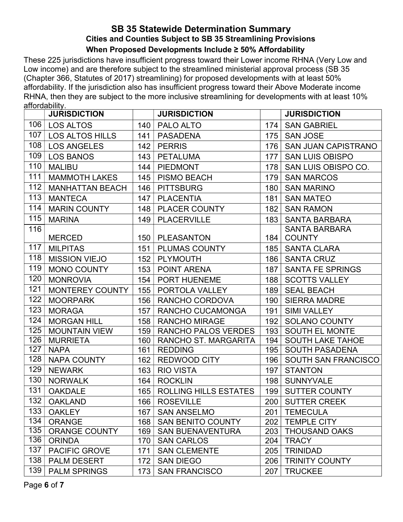# SB 35 Statewide Determination Summary Cities and Counties Subject to SB 35 Streamlining Provisions When Proposed Developments Include ≥ 50% Affordability

These 225 jurisdictions have insufficient progress toward their Lower income RHNA (Very Low and Low income) and are therefore subject to the streamlined ministerial approval process (SB 35 (Chapter 366, Statutes of 2017) streamlining) for proposed developments with at least 50% affordability. If the jurisdiction also has insufficient progress toward their Above Moderate income RHNA, then they are subject to the more inclusive streamlining for developments with at least 10% affordability.

|     | <b>JURISDICTION</b>    |     | <b>JURISDICTION</b>          |     | <b>JURISDICTION</b>        |
|-----|------------------------|-----|------------------------------|-----|----------------------------|
| 106 | <b>LOS ALTOS</b>       | 140 | PALO ALTO                    | 174 | <b>SAN GABRIEL</b>         |
| 107 | <b>LOS ALTOS HILLS</b> | 141 | <b>PASADENA</b>              | 175 | <b>SAN JOSE</b>            |
| 108 | <b>LOS ANGELES</b>     | 142 | <b>PERRIS</b>                | 176 | <b>SAN JUAN CAPISTRANO</b> |
| 109 | <b>LOS BANOS</b>       | 143 | <b>PETALUMA</b>              | 177 | <b>SAN LUIS OBISPO</b>     |
| 110 | <b>MALIBU</b>          | 144 | <b>PIEDMONT</b>              | 178 | SAN LUIS OBISPO CO.        |
| 111 | <b>MAMMOTH LAKES</b>   | 145 | <b>PISMO BEACH</b>           | 179 | <b>SAN MARCOS</b>          |
| 112 | <b>MANHATTAN BEACH</b> | 146 | <b>PITTSBURG</b>             | 180 | <b>SAN MARINO</b>          |
| 113 | <b>MANTECA</b>         | 147 | <b>PLACENTIA</b>             | 181 | <b>SAN MATEO</b>           |
| 114 | <b>MARIN COUNTY</b>    | 148 | <b>PLACER COUNTY</b>         | 182 | <b>SAN RAMON</b>           |
| 115 | <b>MARINA</b>          | 149 | <b>PLACERVILLE</b>           | 183 | <b>SANTA BARBARA</b>       |
| 116 |                        |     |                              |     | <b>SANTA BARBARA</b>       |
|     | <b>MERCED</b>          | 150 | <b>PLEASANTON</b>            | 184 | <b>COUNTY</b>              |
| 117 | <b>MILPITAS</b>        | 151 | <b>PLUMAS COUNTY</b>         | 185 | <b>SANTA CLARA</b>         |
| 118 | <b>MISSION VIEJO</b>   | 152 | <b>PLYMOUTH</b>              | 186 | <b>SANTA CRUZ</b>          |
| 119 | <b>MONO COUNTY</b>     | 153 | POINT ARENA                  | 187 | <b>SANTA FE SPRINGS</b>    |
| 120 | <b>MONROVIA</b>        | 154 | PORT HUENEME                 | 188 | <b>SCOTTS VALLEY</b>       |
| 121 | <b>MONTEREY COUNTY</b> | 155 | PORTOLA VALLEY               | 189 | <b>SEAL BEACH</b>          |
| 122 | <b>MOORPARK</b>        | 156 | RANCHO CORDOVA               | 190 | <b>SIERRA MADRE</b>        |
| 123 | <b>MORAGA</b>          | 157 | RANCHO CUCAMONGA             | 191 | <b>SIMI VALLEY</b>         |
| 124 | <b>MORGAN HILL</b>     | 158 | <b>RANCHO MIRAGE</b>         | 192 | <b>SOLANO COUNTY</b>       |
| 125 | <b>MOUNTAIN VIEW</b>   | 159 | <b>RANCHO PALOS VERDES</b>   | 193 | <b>SOUTH EL MONTE</b>      |
| 126 | <b>MURRIETA</b>        | 160 | RANCHO ST. MARGARITA         | 194 | <b>SOUTH LAKE TAHOE</b>    |
| 127 | <b>NAPA</b>            | 161 | <b>REDDING</b>               | 195 | <b>SOUTH PASADENA</b>      |
| 128 | <b>NAPA COUNTY</b>     | 162 | <b>REDWOOD CITY</b>          | 196 | <b>SOUTH SAN FRANCISCO</b> |
| 129 | <b>NEWARK</b>          | 163 | <b>RIO VISTA</b>             | 197 | <b>STANTON</b>             |
| 130 | <b>NORWALK</b>         | 164 | <b>ROCKLIN</b>               | 198 | <b>SUNNYVALE</b>           |
| 131 | <b>OAKDALE</b>         | 165 | <b>ROLLING HILLS ESTATES</b> | 199 | <b>SUTTER COUNTY</b>       |
| 132 | <b>OAKLAND</b>         | 166 | <b>ROSEVILLE</b>             | 200 | <b>SUTTER CREEK</b>        |
| 133 | <b>OAKLEY</b>          | 167 | <b>SAN ANSELMO</b>           | 201 | <b>TEMECULA</b>            |
| 134 | <b>ORANGE</b>          | 168 | <b>SAN BENITO COUNTY</b>     | 202 | <b>TEMPLE CITY</b>         |
| 135 | <b>ORANGE COUNTY</b>   | 169 | <b>SAN BUENAVENTURA</b>      | 203 | <b>THOUSAND OAKS</b>       |
| 136 | <b>ORINDA</b>          | 170 | <b>SAN CARLOS</b>            | 204 | <b>TRACY</b>               |
| 137 | <b>PACIFIC GROVE</b>   | 171 | <b>SAN CLEMENTE</b>          | 205 | <b>TRINIDAD</b>            |
| 138 | <b>PALM DESERT</b>     | 172 | <b>SAN DIEGO</b>             | 206 | <b>TRINITY COUNTY</b>      |
| 139 | <b>PALM SPRINGS</b>    | 173 | <b>SAN FRANCISCO</b>         | 207 | <b>TRUCKEE</b>             |

Page 6 of 7